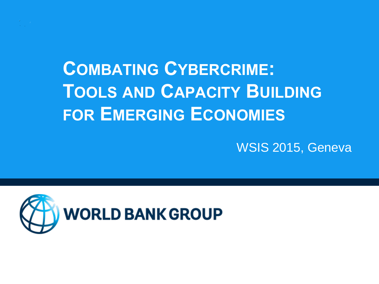

# **COMBATING CYBERCRIME: TOOLS AND CAPACITY BUILDING FOR EMERGING ECONOMIES**

WSIS 2015, Geneva

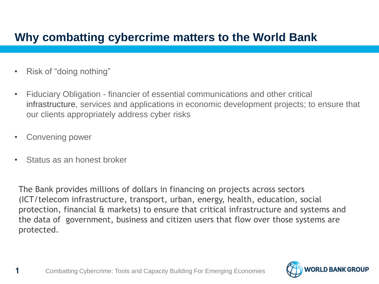#### **Why combatting cybercrime matters to the World Bank**

- Risk of "doing nothing"
- Fiduciary Obligation financier of essential communications and other critical infrastructure, services and applications in economic development projects; to ensure that our clients appropriately address cyber risks
- Convening power
- Status as an honest broker

The Bank provides millions of dollars in financing on projects across sectors (ICT/telecom infrastructure, transport, urban, energy, health, education, social protection, financial & markets) to ensure that critical infrastructure and systems and the data of government, business and citizen users that flow over those systems are protected.

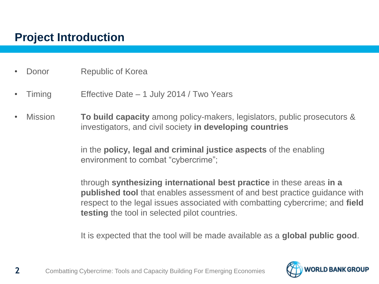#### **Project Introduction**

- **Donor** Republic of Korea
- Timing Effective Date 1 July 2014 / Two Years
- Mission **To build capacity** among policy-makers, legislators, public prosecutors & investigators, and civil society **in developing countries**

in the **policy, legal and criminal justice aspects** of the enabling environment to combat "cybercrime";

through **synthesizing international best practice** in these areas **in a published tool** that enables assessment of and best practice guidance with respect to the legal issues associated with combatting cybercrime; and **field testing** the tool in selected pilot countries.

It is expected that the tool will be made available as a **global public good**.



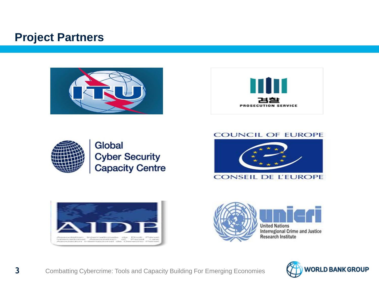#### **Project Partners**







#### Global **Cyber Security Capacity Centre**

#### **COUNCIL OF EUROPE**







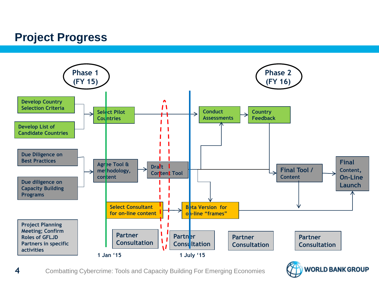#### **Project Progress**





**4** Combatting Cybercrime: Tools and Capacity Building For Emerging Economies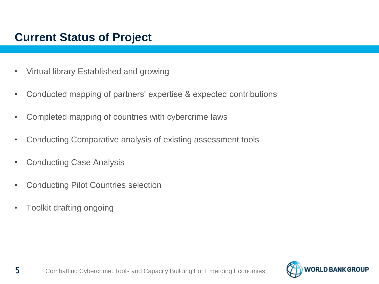#### **Current Status of Project**

- Virtual library Established and growing
- Conducted mapping of partners' expertise & expected contributions
- Completed mapping of countries with cybercrime laws
- Conducting Comparative analysis of existing assessment tools
- Conducting Case Analysis
- Conducting Pilot Countries selection
- Toolkit drafting ongoing

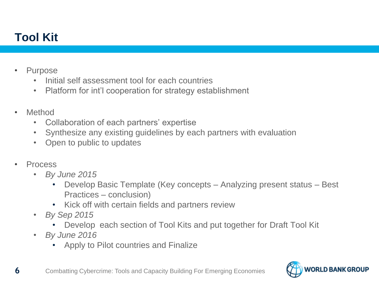### **Tool Kit**

- Purpose
	- Initial self assessment tool for each countries
	- Platform for int'l cooperation for strategy establishment
- **Method** 
	- Collaboration of each partners' expertise
	- Synthesize any existing guidelines by each partners with evaluation
	- Open to public to updates
- **Process** 
	- *By June 2015* 
		- Develop Basic Template (Key concepts Analyzing present status Best Practices – conclusion)
		- Kick off with certain fields and partners review
	- *By Sep 2015* 
		- Develop each section of Tool Kits and put together for Draft Tool Kit
	- *By June 2016*
		- Apply to Pilot countries and Finalize

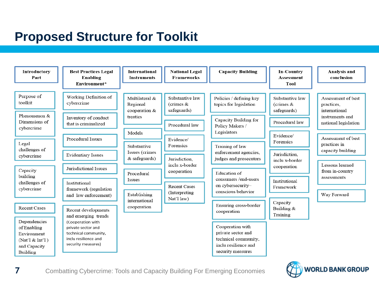## **Proposed Structure for Toolkit**

| Introductory<br>Part                                         | <b>Best Practices Legal</b><br>Enabling<br>Environment*            | <b>International</b><br><b>Instruments</b>                                              | <b>National Legal</b><br><b>Frameworks</b>                                                            | <b>Capacity Building</b>                                                                                                                              | <b>In-Country</b><br>Assessment<br>Tool                                                    | Analysis and<br>conclusion                                                                                                                              |
|--------------------------------------------------------------|--------------------------------------------------------------------|-----------------------------------------------------------------------------------------|-------------------------------------------------------------------------------------------------------|-------------------------------------------------------------------------------------------------------------------------------------------------------|--------------------------------------------------------------------------------------------|---------------------------------------------------------------------------------------------------------------------------------------------------------|
| Purpose of<br>toolkit                                        | Working Definition of<br>cybercrime                                | Multilateral &<br>Regional<br>cooperation &                                             | Substantive law<br>(crimes $&$<br>safeguards)                                                         | Policies / defining key<br>topics for legislation                                                                                                     | Substantive law<br>(crimes $&$<br>safeguards)                                              | Assessment of best<br>practices,<br>international                                                                                                       |
| Phenomenon &<br>Dimensions of<br>cybercrime                  | Inventory of conduct<br>that is criminalized                       | treaties<br>Models                                                                      | Procedural law                                                                                        | Capacity Building for<br>Policy Makers /<br>Legislators                                                                                               | Procedural law<br>Evidence/<br>Forensics<br>Jurisdiction.<br>inclu x-border<br>cooperation | instruments and<br>national legislation<br>Assessment of best<br>practices in<br>capacity building<br>Lessons learned<br>from in-country<br>assessments |
| Legal<br>challenges of                                       | Procedural Issues                                                  | Substantive<br>Issues (crimes                                                           | Evidence/<br>Forensics                                                                                | Training of law<br>enforcement agencies,<br>judges and prosecutors<br>Education of<br>consumers /end-users<br>on cybersecurity-<br>conscious behavior |                                                                                            |                                                                                                                                                         |
| cybercrime<br>Capacity                                       | <b>Evidentiary Issues</b><br>Jurisdictional Issues                 | $&$ safeguards)<br>Procedural<br>Issues<br>Establishing<br>international<br>cooperation | Jurisdiction.<br>inclu x-border<br>cooperation<br><b>Recent Cases</b><br>(Interpreting)<br>Nat'l law) |                                                                                                                                                       |                                                                                            |                                                                                                                                                         |
| building<br>challenges of<br>cybercrime                      | Institutional<br>framework (regulation                             |                                                                                         |                                                                                                       |                                                                                                                                                       | Institutional<br>Framework                                                                 |                                                                                                                                                         |
| <b>Recent Cases</b>                                          | and law enforcement)<br>Recent developments                        |                                                                                         |                                                                                                       | Ensuring cross-border<br>cooperation                                                                                                                  | Capacity<br>Building &<br>Training                                                         | Way Forward                                                                                                                                             |
| Dependencies<br>of Enabling                                  | and emerging trends<br>(Cooperation with<br>private sector and     |                                                                                         |                                                                                                       | Cooperation with                                                                                                                                      |                                                                                            |                                                                                                                                                         |
| Environment<br>(Nat'l $&$ Int'l)<br>and Capacity<br>Building | technical community,<br>inclu resilience and<br>security measures) |                                                                                         |                                                                                                       | private sector and<br>technical community,<br>inclu resilience and<br>security measures                                                               |                                                                                            |                                                                                                                                                         |

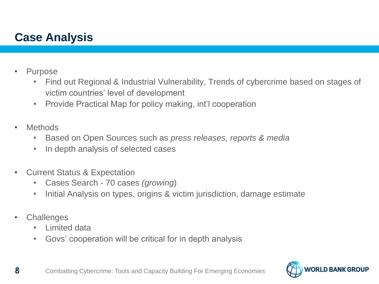#### **Case Analysis**

- **Purpose** 
	- Find out Regional & Industrial Vulnerability, Trends of cybercrime based on stages of victim countries' level of development
	- Provide Practical Map for policy making, int'l cooperation
- **Methods** 
	- Based on Open Sources such as *press releases, reports & media*
	- In depth analysis of selected cases
- Current Status & Expectation
	- Cases Search 70 cases *(growing*)
	- Initial Analysis on types, origins & victim jurisdiction, damage estimate
- **Challenges** 
	- Limited data
	- Govs' cooperation will be critical for in depth analysis